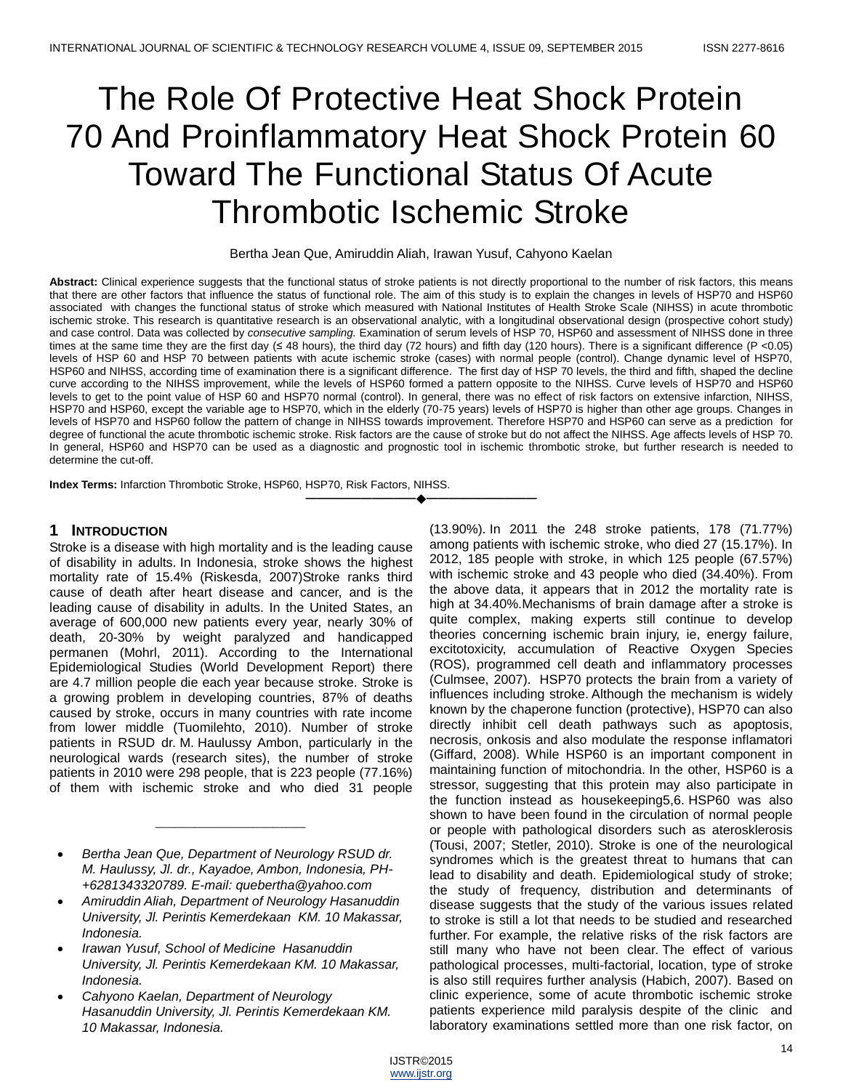# The Role Of Protective Heat Shock Protein 70 And Proinflammatory Heat Shock Protein 60 Toward The Functional Status Of Acute Thrombotic Ischemic Stroke

Bertha Jean Que, Amiruddin Aliah, Irawan Yusuf, Cahyono Kaelan

**Abstract:** Clinical experience suggests that the functional status of stroke patients is not directly proportional to the number of risk factors, this means that there are other factors that influence the status of functional role. The aim of this study is to explain the changes in levels of HSP70 and HSP60 associated with changes the functional status of stroke which measured with National Institutes of Health Stroke Scale (NIHSS) in acute thrombotic ischemic stroke. This research is quantitative research is an observational analytic, with a longitudinal observational design (prospective cohort study) and case control. Data was collected by *consecutive sampling.* Examination of serum levels of HSP 70, HSP60 and assessment of NIHSS done in three times at the same time they are the first day (≤ 48 hours), the third day (72 hours) and fifth day (120 hours). There is a significant difference (P <0.05) levels of HSP 60 and HSP 70 between patients with acute ischemic stroke (cases) with normal people (control). Change dynamic level of HSP70, HSP60 and NIHSS, according time of examination there is a significant difference. The first day of HSP 70 levels, the third and fifth, shaped the decline curve according to the NIHSS improvement, while the levels of HSP60 formed a pattern opposite to the NIHSS. Curve levels of HSP70 and HSP60 levels to get to the point value of HSP 60 and HSP70 normal (control). In general, there was no effect of risk factors on extensive infarction, NIHSS, HSP70 and HSP60, except the variable age to HSP70, which in the elderly (70-75 years) levels of HSP70 is higher than other age groups. Changes in levels of HSP70 and HSP60 follow the pattern of change in NIHSS towards improvement. Therefore HSP70 and HSP60 can serve as a prediction for degree of functional the acute thrombotic ischemic stroke. Risk factors are the cause of stroke but do not affect the NIHSS. Age affects levels of HSP 70. In general, HSP60 and HSP70 can be used as a diagnostic and prognostic tool in ischemic thrombotic stroke, but further research is needed to determine the cut-off.

**————————————————————**

**Index Terms:** Infarction Thrombotic Stroke, HSP60, HSP70, Risk Factors, NIHSS.

#### **1 INTRODUCTION**

Stroke is a disease with high mortality and is the leading cause of disability in adults. In Indonesia, stroke shows the highest mortality rate of 15.4% (Riskesda, 2007)Stroke ranks third cause of death after heart disease and cancer, and is the leading cause of disability in adults. In the United States, an average of 600,000 new patients every year, nearly 30% of death, 20-30% by weight paralyzed and handicapped permanen (Mohrl, 2011). According to the International Epidemiological Studies (World Development Report) there are 4.7 million people die each year because stroke. Stroke is a growing problem in developing countries, 87% of deaths caused by stroke, occurs in many countries with rate income from lower middle (Tuomilehto, 2010). Number of stroke patients in RSUD dr. M. Haulussy Ambon, particularly in the neurological wards (research sites), the number of stroke patients in 2010 were 298 people, that is 223 people (77.16%) of them with ischemic stroke and who died 31 people

 *Bertha Jean Que, Department of Neurology RSUD dr. M. Haulussy, Jl. dr., Kayadoe, Ambon, Indonesia, PH- +6281343320789. E-mail: quebertha@yahoo.com*

\_\_\_\_\_\_\_\_\_\_\_\_\_\_\_\_\_\_\_\_\_\_\_

- *Amiruddin Aliah, Department of Neurology Hasanuddin University, Jl. Perintis Kemerdekaan KM. 10 Makassar, Indonesia.*
- *Irawan Yusuf, School of Medicine Hasanuddin University, Jl. Perintis Kemerdekaan KM. 10 Makassar, Indonesia.*
- *Cahyono Kaelan, Department of Neurology Hasanuddin University, Jl. Perintis Kemerdekaan KM. 10 Makassar, Indonesia.*

(13.90%). In 2011 the 248 stroke patients, 178 (71.77%) among patients with ischemic stroke, who died 27 (15.17%). In 2012, 185 people with stroke, in which 125 people (67.57%) with ischemic stroke and 43 people who died (34.40%). From the above data, it appears that in 2012 the mortality rate is high at 34.40%.Mechanisms of brain damage after a stroke is quite complex, making experts still continue to develop theories concerning ischemic brain injury, ie, energy failure, excitotoxicity, accumulation of Reactive Oxygen Species (ROS), programmed cell death and inflammatory processes (Culmsee, 2007). HSP70 protects the brain from a variety of influences including stroke. Although the mechanism is widely known by the chaperone function (protective), HSP70 can also directly inhibit cell death pathways such as apoptosis, necrosis, onkosis and also modulate the response inflamatori (Giffard, 2008). While HSP60 is an important component in maintaining function of mitochondria. In the other, HSP60 is a stressor, suggesting that this protein may also participate in the function instead as housekeeping5,6. HSP60 was also shown to have been found in the circulation of normal people or people with pathological disorders such as aterosklerosis (Tousi, 2007; Stetler, 2010). Stroke is one of the neurological syndromes which is the greatest threat to humans that can lead to disability and death. Epidemiological study of stroke; the study of frequency, distribution and determinants of disease suggests that the study of the various issues related to stroke is still a lot that needs to be studied and researched further. For example, the relative risks of the risk factors are still many who have not been clear. The effect of various pathological processes, multi-factorial, location, type of stroke is also still requires further analysis (Habich, 2007). Based on clinic experience, some of acute thrombotic ischemic stroke patients experience mild paralysis despite of the clinic and laboratory examinations settled more than one risk factor, on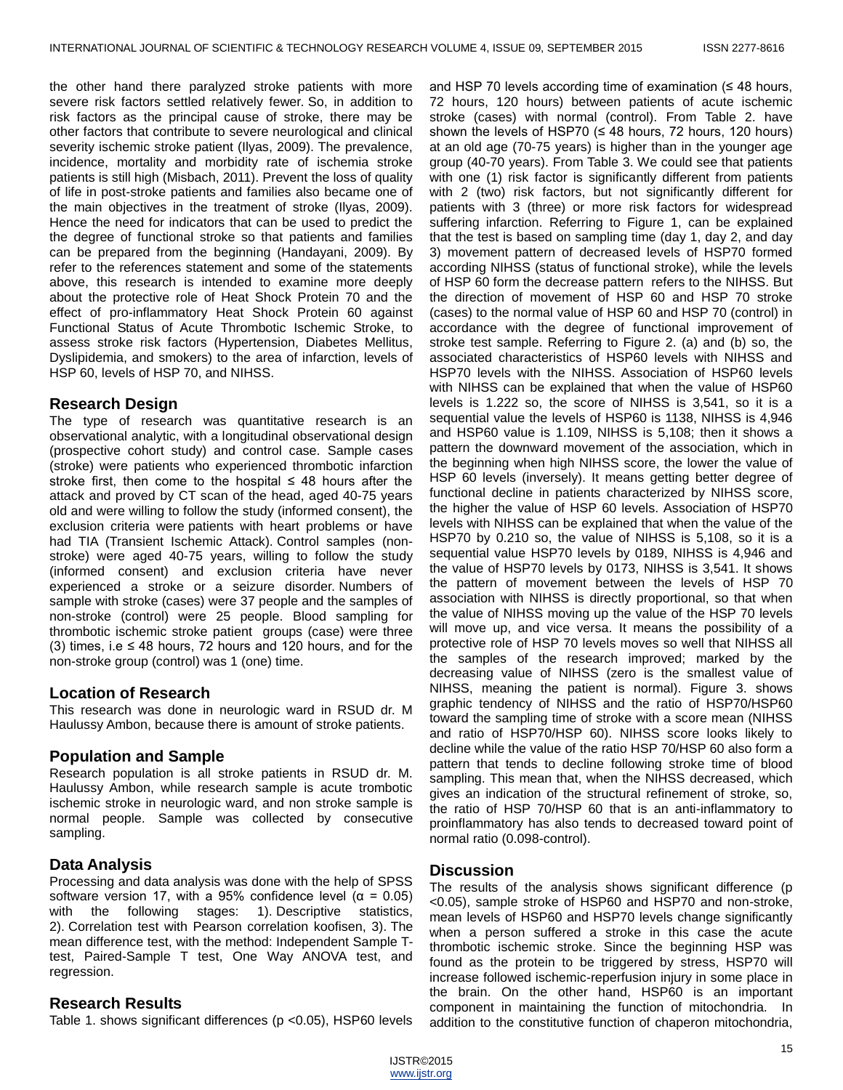the other hand there paralyzed stroke patients with more severe risk factors settled relatively fewer. So, in addition to risk factors as the principal cause of stroke, there may be other factors that contribute to severe neurological and clinical severity ischemic stroke patient (Ilyas, 2009). The prevalence, incidence, mortality and morbidity rate of ischemia stroke patients is still high (Misbach, 2011). Prevent the loss of quality of life in post-stroke patients and families also became one of the main objectives in the treatment of stroke (Ilyas, 2009). Hence the need for indicators that can be used to predict the the degree of functional stroke so that patients and families can be prepared from the beginning (Handayani, 2009). By refer to the references statement and some of the statements above, this research is intended to examine more deeply about the protective role of Heat Shock Protein 70 and the effect of pro-inflammatory Heat Shock Protein 60 against Functional Status of Acute Thrombotic Ischemic Stroke, to assess stroke risk factors (Hypertension, Diabetes Mellitus, Dyslipidemia, and smokers) to the area of infarction, levels of HSP 60, levels of HSP 70, and NIHSS.

#### **Research Design**

The type of research was quantitative research is an observational analytic, with a longitudinal observational design (prospective cohort study) and control case. Sample cases (stroke) were patients who experienced thrombotic infarction stroke first, then come to the hospital  $\leq$  48 hours after the attack and proved by CT scan of the head, aged 40-75 years old and were willing to follow the study (informed consent), the exclusion criteria were patients with heart problems or have had TIA (Transient Ischemic Attack). Control samples (nonstroke) were aged 40-75 years, willing to follow the study (informed consent) and exclusion criteria have never experienced a stroke or a seizure disorder. Numbers of sample with stroke (cases) were 37 people and the samples of non-stroke (control) were 25 people. Blood sampling for thrombotic ischemic stroke patient groups (case) were three (3) times, i.e  $\leq$  48 hours, 72 hours and 120 hours, and for the non-stroke group (control) was 1 (one) time.

#### **Location of Research**

This research was done in neurologic ward in RSUD dr. M Haulussy Ambon, because there is amount of stroke patients.

#### **Population and Sample**

Research population is all stroke patients in RSUD dr. M. Haulussy Ambon, while research sample is acute trombotic ischemic stroke in neurologic ward, and non stroke sample is normal people. Sample was collected by consecutive sampling.

#### **Data Analysis**

Processing and data analysis was done with the help of SPSS software version 17, with a 95% confidence level ( $\alpha$  = 0.05) with the following stages: 1). Descriptive statistics, 2). Correlation test with Pearson correlation koofisen, 3). The mean difference test, with the method: Independent Sample Ttest, Paired-Sample T test, One Way ANOVA test, and regression.

#### **Research Results**

Table 1. shows significant differences (p <0.05), HSP60 levels

and HSP 70 levels according time of examination  $(48 \text{ hours})$ , 72 hours, 120 hours) between patients of acute ischemic stroke (cases) with normal (control). From Table 2. have shown the levels of HSP70 ( $\leq$  48 hours, 72 hours, 120 hours) at an old age (70-75 years) is higher than in the younger age group (40-70 years). From Table 3. We could see that patients with one (1) risk factor is significantly different from patients with 2 (two) risk factors, but not significantly different for patients with 3 (three) or more risk factors for widespread suffering infarction. Referring to Figure 1, can be explained that the test is based on sampling time (day 1, day 2, and day 3) movement pattern of decreased levels of HSP70 formed according NIHSS (status of functional stroke), while the levels of HSP 60 form the decrease pattern refers to the NIHSS. But the direction of movement of HSP 60 and HSP 70 stroke (cases) to the normal value of HSP 60 and HSP 70 (control) in accordance with the degree of functional improvement of stroke test sample. Referring to Figure 2. (a) and (b) so, the associated characteristics of HSP60 levels with NIHSS and HSP70 levels with the NIHSS. Association of HSP60 levels with NIHSS can be explained that when the value of HSP60 levels is 1.222 so, the score of NIHSS is 3,541, so it is a sequential value the levels of HSP60 is 1138, NIHSS is 4,946 and HSP60 value is 1.109, NIHSS is 5,108; then it shows a pattern the downward movement of the association, which in the beginning when high NIHSS score, the lower the value of HSP 60 levels (inversely). It means getting better degree of functional decline in patients characterized by NIHSS score, the higher the value of HSP 60 levels. Association of HSP70 levels with NIHSS can be explained that when the value of the HSP70 by 0.210 so, the value of NIHSS is 5,108, so it is a sequential value HSP70 levels by 0189, NIHSS is 4,946 and the value of HSP70 levels by 0173, NIHSS is 3,541. It shows the pattern of movement between the levels of HSP 70 association with NIHSS is directly proportional, so that when the value of NIHSS moving up the value of the HSP 70 levels will move up, and vice versa. It means the possibility of a protective role of HSP 70 levels moves so well that NIHSS all the samples of the research improved; marked by the decreasing value of NIHSS (zero is the smallest value of NIHSS, meaning the patient is normal). Figure 3. shows graphic tendency of NIHSS and the ratio of HSP70/HSP60 toward the sampling time of stroke with a score mean (NIHSS and ratio of HSP70/HSP 60). NIHSS score looks likely to decline while the value of the ratio HSP 70/HSP 60 also form a pattern that tends to decline following stroke time of blood sampling. This mean that, when the NIHSS decreased, which gives an indication of the structural refinement of stroke, so, the ratio of HSP 70/HSP 60 that is an anti-inflammatory to proinflammatory has also tends to decreased toward point of normal ratio (0.098-control).

#### **Discussion**

The results of the analysis shows significant difference (p <0.05), sample stroke of HSP60 and HSP70 and non-stroke, mean levels of HSP60 and HSP70 levels change significantly when a person suffered a stroke in this case the acute thrombotic ischemic stroke. Since the beginning HSP was found as the protein to be triggered by stress, HSP70 will increase followed ischemic-reperfusion injury in some place in the brain. On the other hand, HSP60 is an important component in maintaining the function of mitochondria. In addition to the constitutive function of chaperon mitochondria,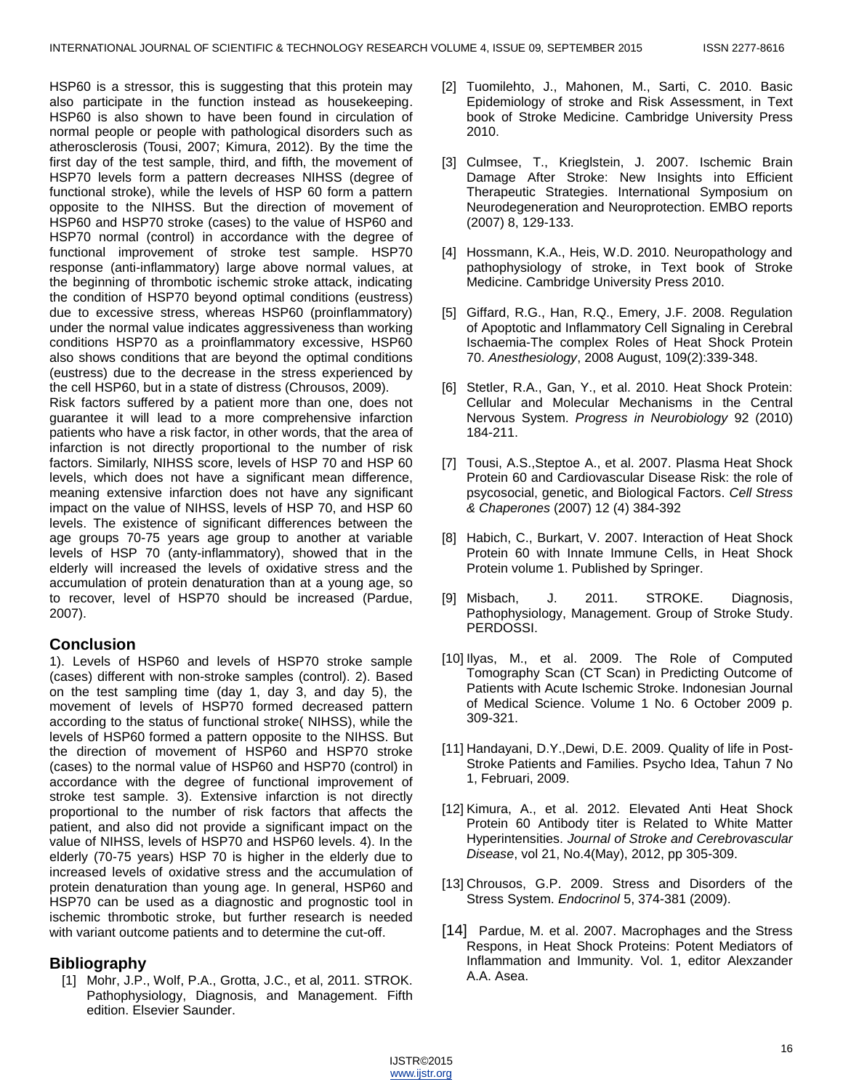HSP60 is a stressor, this is suggesting that this protein may also participate in the function instead as housekeeping. HSP60 is also shown to have been found in circulation of normal people or people with pathological disorders such as atherosclerosis (Tousi, 2007; Kimura, 2012). By the time the first day of the test sample, third, and fifth, the movement of HSP70 levels form a pattern decreases NIHSS (degree of functional stroke), while the levels of HSP 60 form a pattern opposite to the NIHSS. But the direction of movement of HSP60 and HSP70 stroke (cases) to the value of HSP60 and HSP70 normal (control) in accordance with the degree of functional improvement of stroke test sample. HSP70 response (anti-inflammatory) large above normal values, at the beginning of thrombotic ischemic stroke attack, indicating the condition of HSP70 beyond optimal conditions (eustress) due to excessive stress, whereas HSP60 (proinflammatory) under the normal value indicates aggressiveness than working conditions HSP70 as a proinflammatory excessive, HSP60 also shows conditions that are beyond the optimal conditions (eustress) due to the decrease in the stress experienced by the cell HSP60, but in a state of distress (Chrousos, 2009). Risk factors suffered by a patient more than one, does not

guarantee it will lead to a more comprehensive infarction patients who have a risk factor, in other words, that the area of infarction is not directly proportional to the number of risk factors. Similarly, NIHSS score, levels of HSP 70 and HSP 60 levels, which does not have a significant mean difference, meaning extensive infarction does not have any significant impact on the value of NIHSS, levels of HSP 70, and HSP 60 levels. The existence of significant differences between the age groups 70-75 years age group to another at variable levels of HSP 70 (anty-inflammatory), showed that in the elderly will increased the levels of oxidative stress and the accumulation of protein denaturation than at a young age, so to recover, level of HSP70 should be increased (Pardue, 2007).

## **Conclusion**

1). Levels of HSP60 and levels of HSP70 stroke sample (cases) different with non-stroke samples (control). 2). Based on the test sampling time (day 1, day 3, and day 5), the movement of levels of HSP70 formed decreased pattern according to the status of functional stroke( NIHSS), while the levels of HSP60 formed a pattern opposite to the NIHSS. But the direction of movement of HSP60 and HSP70 stroke (cases) to the normal value of HSP60 and HSP70 (control) in accordance with the degree of functional improvement of stroke test sample. 3). Extensive infarction is not directly proportional to the number of risk factors that affects the patient, and also did not provide a significant impact on the value of NIHSS, levels of HSP70 and HSP60 levels. 4). In the elderly (70-75 years) HSP 70 is higher in the elderly due to increased levels of oxidative stress and the accumulation of protein denaturation than young age. In general, HSP60 and HSP70 can be used as a diagnostic and prognostic tool in ischemic thrombotic stroke, but further research is needed with variant outcome patients and to determine the cut-off.

## **Bibliography**

[1] Mohr, J.P., Wolf, P.A., Grotta, J.C., et al, 2011. STROK. Pathophysiology, Diagnosis, and Management. Fifth edition. Elsevier Saunder.

- [2] Tuomilehto, J., Mahonen, M., Sarti, C. 2010. Basic Epidemiology of stroke and Risk Assessment, in Text book of Stroke Medicine. Cambridge University Press 2010.
- [3] Culmsee, T., Krieglstein, J. 2007. Ischemic Brain Damage After Stroke: New Insights into Efficient Therapeutic Strategies. International Symposium on Neurodegeneration and Neuroprotection. EMBO reports (2007) 8, 129-133.
- [4] Hossmann, K.A., Heis, W.D. 2010. Neuropathology and pathophysiology of stroke, in Text book of Stroke Medicine. Cambridge University Press 2010.
- [5] Giffard, R.G., Han, R.Q., Emery, J.F. 2008. Regulation of Apoptotic and Inflammatory Cell Signaling in Cerebral Ischaemia-The complex Roles of Heat Shock Protein 70. *Anesthesiology*, 2008 August, 109(2):339-348.
- [6] Stetler, R.A., Gan, Y., et al. 2010. Heat Shock Protein: Cellular and Molecular Mechanisms in the Central Nervous System. *Progress in Neurobiology* 92 (2010) 184-211.
- [7] Tousi, A.S.,Steptoe A., et al. 2007. Plasma Heat Shock Protein 60 and Cardiovascular Disease Risk: the role of psycosocial, genetic, and Biological Factors. *Cell Stress & Chaperones* (2007) 12 (4) 384-392
- [8] Habich, C., Burkart, V. 2007. Interaction of Heat Shock Protein 60 with Innate Immune Cells, in Heat Shock Protein volume 1. Published by Springer.
- [9] Misbach, J. 2011. STROKE. Diagnosis, Pathophysiology, Management. Group of Stroke Study. PERDOSSI.
- [10] Ilyas, M., et al. 2009. The Role of Computed Tomography Scan (CT Scan) in Predicting Outcome of Patients with Acute Ischemic Stroke. Indonesian Journal of Medical Science. Volume 1 No. 6 October 2009 p. 309-321.
- [11] Handayani, D.Y.,Dewi, D.E. 2009. Quality of life in Post-Stroke Patients and Families. Psycho Idea, Tahun 7 No 1, Februari, 2009.
- [12] Kimura, A., et al. 2012. Elevated Anti Heat Shock Protein 60 Antibody titer is Related to White Matter Hyperintensities. *Journal of Stroke and Cerebrovascular Disease*, vol 21, No.4(May), 2012, pp 305-309.
- [13] Chrousos, G.P. 2009. Stress and Disorders of the Stress System. *Endocrinol* 5, 374-381 (2009).
- [14] Pardue, M. et al. 2007. Macrophages and the Stress Respons, in Heat Shock Proteins: Potent Mediators of Inflammation and Immunity. Vol. 1, editor Alexzander A.A. Asea.

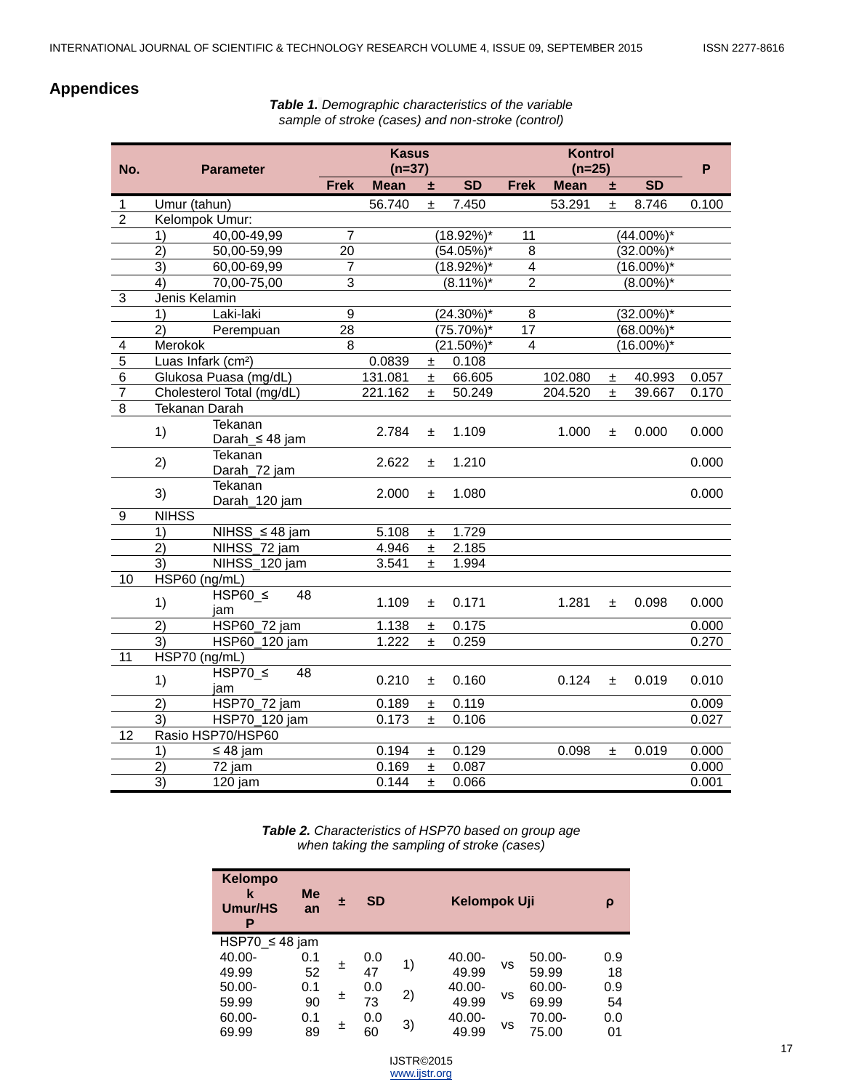# **Appendices**

*Table 1. Demographic characteristics of the variable sample of stroke (cases) and non-stroke (control)*

| No.                     | <b>Parameter</b>                       |                | <b>Kasus</b><br>$(n=37)$ |       |               | <b>Kontrol</b><br>$(n=25)$ |             |       |               | P     |
|-------------------------|----------------------------------------|----------------|--------------------------|-------|---------------|----------------------------|-------------|-------|---------------|-------|
|                         |                                        | <b>Frek</b>    | <b>Mean</b>              | ÷.    | <b>SD</b>     | <b>Frek</b>                | <b>Mean</b> | 土     | <b>SD</b>     |       |
| 1                       | Umur (tahun)                           |                | 56.740                   | Ŧ     | 7.450         |                            | 53.291      | $\pm$ | 8.746         | 0.100 |
| $\overline{2}$          | Kelompok Umur:                         |                |                          |       |               |                            |             |       |               |       |
|                         | 1)<br>40,00-49,99                      | 7              |                          |       | $(18.92\%)^*$ | 11                         |             |       | $(44.00\%)$ * |       |
|                         | $\overline{2}$<br>50,00-59,99          | 20             |                          |       | $(54.05\%)*$  | $\overline{8}$             |             |       | $(32.00\%)^*$ |       |
|                         | $\overline{3)}$<br>60,00-69,99         | $\overline{7}$ |                          |       | $(18.92\%)^*$ | $\overline{4}$             |             |       | $(16.00\%)^*$ |       |
|                         | 70,00-75,00<br>4)                      | $\overline{3}$ |                          |       | $(8.11\%)^*$  | $\overline{2}$             |             |       | $(8.00\%)^*$  |       |
| $\overline{3}$          | Jenis Kelamin                          |                |                          |       |               |                            |             |       |               |       |
|                         | $\overline{1}$<br>Laki-laki            | $\overline{9}$ |                          |       | $(24.30\%)^*$ | 8                          |             |       | $(32.00\%)^*$ |       |
|                         | $\overline{2}$<br>Perempuan            | 28             |                          |       | $(75.70\%)*$  | $\overline{17}$            |             |       | $(68.00\%)^*$ |       |
| $\overline{\mathbf{4}}$ | Merokok                                | 8              |                          |       | $(21.50\%)^*$ | $\overline{\mathbf{4}}$    |             |       | $(16.00\%)*$  |       |
| $\overline{5}$          | Luas Infark (cm <sup>2</sup> )         |                | 0.0839                   | 士     | 0.108         |                            |             |       |               |       |
| $\overline{6}$          | Glukosa Puasa (mg/dL)                  |                | 131.081                  | Ŧ     | 66.605        |                            | 102.080     | 土     | 40.993        | 0.057 |
| $\overline{7}$          | Cholesterol Total (mg/dL)              |                | 221.162                  | $\pm$ | 50.249        |                            | 204.520     | $\pm$ | 39.667        | 0.170 |
| $\overline{8}$          | <b>Tekanan Darah</b>                   |                |                          |       |               |                            |             |       |               |       |
|                         | Tekanan<br>1)                          |                | 2.784                    | 士     | 1.109         |                            | 1.000       | 士     | 0.000         | 0.000 |
|                         | Darah $\leq$ 48 jam                    |                |                          |       |               |                            |             |       |               |       |
|                         | Tekanan<br>2)<br>Darah_72 jam          |                | 2.622                    | 士     | 1.210         |                            |             |       |               | 0.000 |
|                         | Tekanan<br>3)<br>Darah_120 jam         |                | 2.000                    | $\pm$ | 1.080         |                            |             |       |               | 0.000 |
| 9                       | <b>NIHSS</b>                           |                |                          |       |               |                            |             |       |               |       |
|                         | 1)<br>NIHSS_≤ 48 jam                   |                | 5.108                    | 土     | 1.729         |                            |             |       |               |       |
|                         | $\overline{2}$<br>NIHSS_72 jam         |                | 4.946                    | Ŧ     | 2.185         |                            |             |       |               |       |
|                         | 3)<br>NIHSS 120 jam                    |                | 3.541                    | $\pm$ | 1.994         |                            |             |       |               |       |
| 10                      | HSP60 (ng/mL)                          |                |                          |       |               |                            |             |       |               |       |
|                         | $HSP60 \leq$<br>48<br>1)<br>jam        |                | 1.109                    | ±.    | 0.171         |                            | 1.281       | ±.    | 0.098         | 0.000 |
|                         | $\overline{2}$<br><b>HSP60_72 jam</b>  |                | 1.138                    | 士     | 0.175         |                            |             |       |               | 0.000 |
|                         | $\overline{3)}$<br>HSP60_120 jam       |                | 1.222                    | $\pm$ | 0.259         |                            |             |       |               | 0.270 |
| $\overline{11}$         | HSP70 (ng/mL)                          |                |                          |       |               |                            |             |       |               |       |
|                         | $HSP70 \leq$<br>48<br>1)<br>jam        |                | 0.210                    | $\pm$ | 0.160         |                            | 0.124       | ±.    | 0.019         | 0.010 |
|                         | <b>HSP70_72 jam</b><br>$\overline{2)}$ |                | 0.189                    | ±.    | 0.119         |                            |             |       |               | 0.009 |
|                         | 3)<br>HSP70_120 jam                    |                | 0.173                    | ±.    | 0.106         |                            |             |       |               | 0.027 |
| 12                      | Rasio HSP70/HSP60                      |                |                          |       |               |                            |             |       |               |       |
|                         | 1)<br>$\leq 48$ jam                    |                | 0.194                    | 士     | 0.129         |                            | 0.098       | Ŧ     | 0.019         | 0.000 |
|                         | 2)<br>72 jam                           |                | 0.169                    | $\pm$ | 0.087         |                            |             |       |               | 0.000 |
|                         | $\overline{3}$<br>120 jam              |                | 0.144                    | Ŧ     | 0.066         |                            |             |       |               | 0.001 |

*Table 2. Characteristics of HSP70 based on group age when taking the sampling of stroke (cases)*

| <b>Kelompo</b><br>k<br><b>Umur/HS</b><br>Ρ | <b>Me</b><br>an | 士 | <b>SD</b> | Kelompok Uji |        |           |           |     |
|--------------------------------------------|-----------------|---|-----------|--------------|--------|-----------|-----------|-----|
| HSP70 $\leq$ 48 jam                        |                 |   |           |              |        |           |           |     |
| $40.00 -$                                  | 0.1             |   | 0.0       |              | 40.00- |           | $50.00 -$ | 0.9 |
| 49.99                                      | 52              | 土 | 47        | 1)           | 49.99  | <b>VS</b> | 59.99     | 18  |
| $50.00 -$                                  | 0.1             |   | 0.0       |              | 40.00- |           | 60.00-    | 0.9 |
| 59.99                                      | 90              | 土 | 73        | 2)           | 49.99  | vs        | 69.99     | 54  |
| 60.00-                                     | 0.1             |   | 0.0       |              | 40.00- |           | 70.00-    | 0.0 |
| 69.99                                      | 89              | 土 | 60        | 3)           | 49.99  | vs        | 75.00     | 01  |

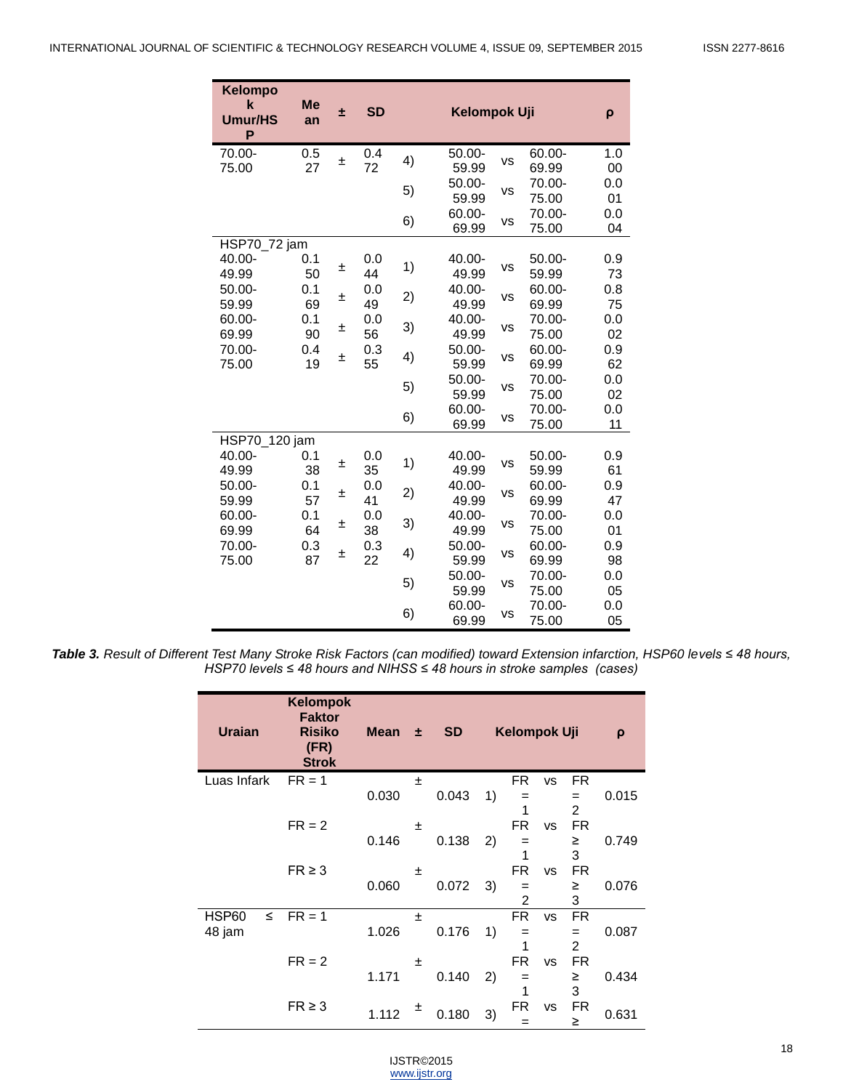| <b>Kelompo</b><br>$\mathbf k$<br>Umur/HS<br>P | <b>Me</b><br>an | ÷.    | <b>SD</b> |    | ρ                  |           |                 |           |
|-----------------------------------------------|-----------------|-------|-----------|----|--------------------|-----------|-----------------|-----------|
| 70.00-<br>75.00                               | 0.5<br>27       | 土     | 0.4<br>72 | 4) | $50.00 -$<br>59.99 | <b>VS</b> | 60.00-<br>69.99 | 1.0<br>00 |
|                                               |                 |       |           | 5) | $50.00 -$<br>59.99 | <b>VS</b> | 70.00-<br>75.00 | 0.0<br>01 |
|                                               |                 |       |           | 6) | 60.00-<br>69.99    | <b>VS</b> | 70.00-<br>75.00 | 0.0<br>04 |
| HSP70_72 jam                                  |                 |       |           |    |                    |           |                 |           |
| 40.00-                                        | 0.1             |       | 0.0       |    | 40.00-             |           | $50.00 -$       | 0.9       |
| 49.99                                         | 50              | ±     | 44        | 1) | 49.99              | VS        | 59.99           | 73        |
| 50.00-<br>59.99                               | 0.1<br>69       | 土     | 0.0<br>49 | 2) | 40.00-<br>49.99    | <b>VS</b> | 60.00-<br>69.99 | 0.8<br>75 |
| 60.00-                                        | 0.1             |       | 0.0       |    | 40.00-             |           | 70.00-          | 0.0       |
| 69.99                                         | 90              | $\pm$ | 56        | 3) | 49.99              | <b>VS</b> | 75.00           | 02        |
| 70.00-                                        | 0.4             |       | 0.3       | 4) | 50.00-             | <b>VS</b> | 60.00-          | 0.9       |
| 75.00                                         | 19              | 土     | 55        |    | 59.99              |           | 69.99           | 62        |
|                                               |                 |       |           | 5) | $50.00 -$          | <b>VS</b> | 70.00-          | 0.0       |
|                                               |                 |       |           |    | 59.99              |           | 75.00           | 02        |
|                                               |                 |       |           | 6) | 60.00-             | <b>VS</b> | 70.00-          | 0.0       |
|                                               |                 |       |           |    | 69.99              |           | 75.00           | 11        |
| HSP70_120 jam<br>40.00-                       | 0.1             |       | 0.0       |    | 40.00-             |           | 50.00-          | 0.9       |
| 49.99                                         | 38              | 土     | 35        | 1) | 49.99              | <b>VS</b> | 59.99           | 61        |
| $50.00 -$                                     | 0.1             |       | 0.0       |    | 40.00-             |           | 60.00-          | 0.9       |
| 59.99                                         | 57              | 土     | 41        | 2) | 49.99              | <b>VS</b> | 69.99           | 47        |
| 60.00-                                        | 0.1             |       | 0.0       |    | 40.00-             |           | 70.00-          | 0.0       |
| 69.99                                         | 64              | 土     | 38        | 3) | 49.99              | <b>VS</b> | 75.00           | 01        |
| 70.00-                                        | 0.3             | 土     | 0.3       | 4) | $50.00 -$          | VS        | 60.00-          | 0.9       |
| 75.00                                         | 87              |       | 22        |    | 59.99              |           | 69.99           | 98        |
|                                               |                 |       |           | 5) | $50.00 -$          | VS        | 70.00-          | 0.0       |
|                                               |                 |       |           |    | 59.99              |           | 75.00           | 05        |
|                                               |                 |       |           | 6) | 60.00-             | <b>VS</b> | 70.00-          | 0.0       |
|                                               |                 |       |           |    | 69.99              |           | 75.00           | 05        |

*Table 3. Result of Different Test Many Stroke Risk Factors (can modified) toward Extension infarction, HSP60 levels ≤ 48 hours, HSP70 levels ≤ 48 hours and NIHSS ≤ 48 hours in stroke samples (cases)*

| <b>Uraian</b>   | <b>Kelompok</b><br><b>Faktor</b><br><b>Risiko</b><br>(FR)<br><b>Strok</b> | <b>Mean</b> | 士 | <b>SD</b> |    | Kelompok Uji |           |                       | $\rho$ |
|-----------------|---------------------------------------------------------------------------|-------------|---|-----------|----|--------------|-----------|-----------------------|--------|
| Luas Infark     | $FR = 1$                                                                  |             | Ŧ |           |    | FR.          | <b>VS</b> | FR                    |        |
|                 |                                                                           | 0.030       |   | 0.043     | 1) | $=$<br>1     |           | $=$<br>$\mathfrak{p}$ | 0.015  |
|                 | $FR = 2$                                                                  |             | 士 |           |    | FR.          | <b>VS</b> | FR.                   |        |
|                 |                                                                           | 0.146       |   | 0.138     | 2) | $=$          |           | ≥                     | 0.749  |
|                 |                                                                           |             |   |           |    | 1            |           | 3                     |        |
|                 | $FR \geq 3$                                                               | 0.060       | 士 | 0.072     | 3) | FR.<br>$=$   | <b>VS</b> | FR.<br>≥              | 0.076  |
|                 |                                                                           |             |   |           |    | 2            |           | 3                     |        |
| HSP60<br>$\leq$ | $FR = 1$                                                                  |             | 士 |           |    | <b>FR</b>    | <b>VS</b> | FR.                   |        |
| 48 jam          |                                                                           | 1.026       |   | 0.176     | 1) | $=$          |           | $=$                   | 0.087  |
|                 | $FR = 2$                                                                  |             | Ŧ |           |    | 1<br>FR.     | <b>VS</b> | $\overline{2}$<br>FR. |        |
|                 |                                                                           | 1.171       |   | 0.140     | 2) | $=$          |           | ≥                     | 0.434  |
|                 |                                                                           |             |   |           |    | 1            |           | 3                     |        |
|                 | $FR \geq 3$                                                               | 1.112       | 土 | 0.180     | 3) | FR<br>=      | <b>VS</b> | FR<br>≥               | 0.631  |

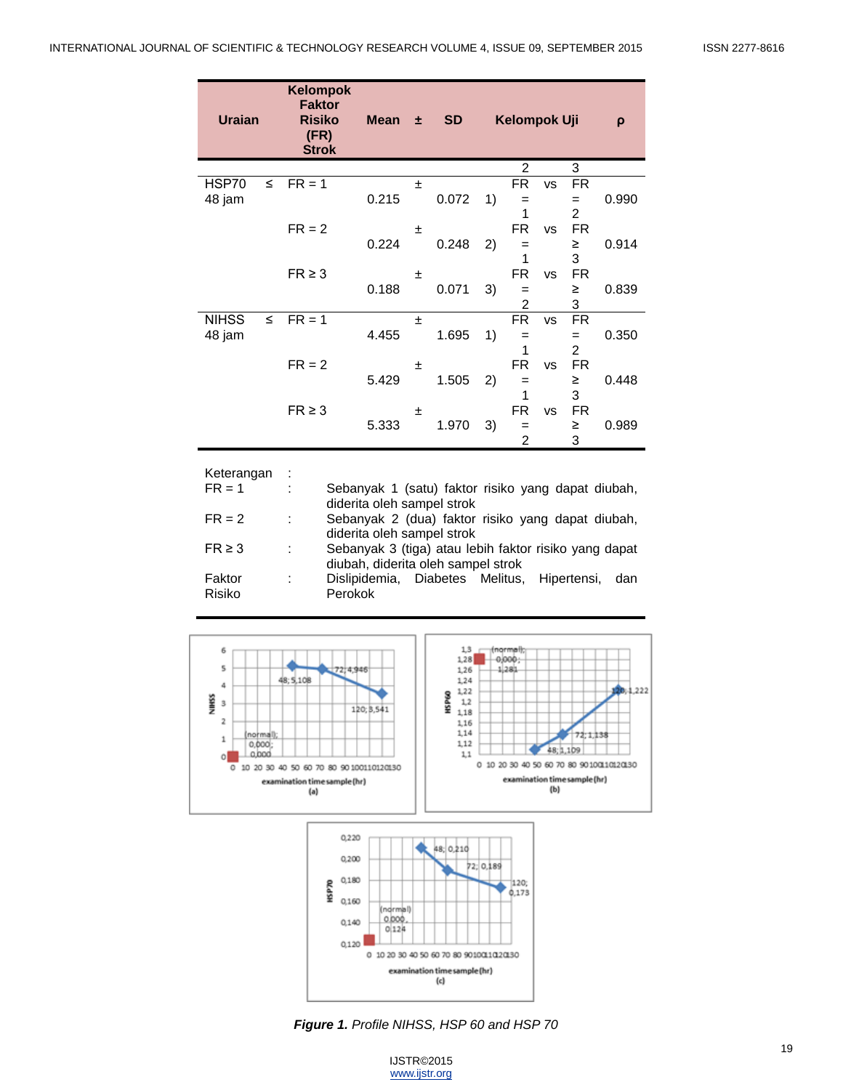| <b>Uraian</b>          |        | Kelompok<br><b>Faktor</b><br><b>Risiko</b><br>(FR)<br><b>Strok</b> | <b>Mean</b>                                                                      | 士  | <b>SD</b> |    | Kelompok Uji   |           |                | $\rho$ |
|------------------------|--------|--------------------------------------------------------------------|----------------------------------------------------------------------------------|----|-----------|----|----------------|-----------|----------------|--------|
|                        |        |                                                                    |                                                                                  |    |           |    | $\overline{2}$ |           | 3              |        |
| HSP70                  | $\leq$ | $FR = 1$                                                           |                                                                                  | ±. |           |    | <b>FR</b>      | <b>VS</b> | <b>FR</b>      |        |
| 48 jam                 |        |                                                                    | 0.215                                                                            |    | 0.072     | 1) | =              |           | $=$            | 0.990  |
|                        |        |                                                                    |                                                                                  |    |           |    | 1              |           | $\overline{2}$ |        |
|                        |        | $FR = 2$                                                           |                                                                                  | 土  |           |    | FR.            | <b>VS</b> | FR.            |        |
|                        |        |                                                                    | 0.224                                                                            |    | 0.248     | 2) | =              |           | ≥              | 0.914  |
|                        |        |                                                                    |                                                                                  |    |           |    | 1              |           | 3              |        |
|                        |        | $FR \geq 3$                                                        |                                                                                  | 士  |           |    | <b>FR</b>      | <b>VS</b> | <b>FR</b>      |        |
|                        |        |                                                                    | 0.188                                                                            |    | 0.071     | 3) | $=$            |           | ≥              | 0.839  |
|                        | $\leq$ |                                                                    |                                                                                  |    |           |    | 2<br><b>FR</b> |           | 3              |        |
| <b>NIHSS</b>           |        | $FR = 1$                                                           | 4.455                                                                            | ±  | 1.695     | 1) |                | <b>VS</b> | <b>FR</b>      | 0.350  |
| 48 jam                 |        |                                                                    |                                                                                  |    |           |    | $=$<br>1       |           | $=$<br>2       |        |
|                        |        | $FR = 2$                                                           |                                                                                  | 土  |           |    | <b>FR</b>      | <b>VS</b> | <b>FR</b>      |        |
|                        |        |                                                                    | 5.429                                                                            |    | 1.505     | 2) | =              |           | ≥              | 0.448  |
|                        |        |                                                                    |                                                                                  |    |           |    | 1              |           | 3              |        |
|                        |        | $FR \geq 3$                                                        |                                                                                  | 土  |           |    | <b>FR</b>      | <b>VS</b> | <b>FR</b>      |        |
|                        |        |                                                                    | 5.333                                                                            |    | 1.970     | 3) | $=$            |           | ≥              | 0.989  |
|                        |        |                                                                    |                                                                                  |    |           |    | $\overline{2}$ |           | 3              |        |
| Keterangan<br>$FR = 1$ |        |                                                                    | Sebanyak 1 (satu) faktor risiko yang dapat diubah,<br>diderita oleh sampel strok |    |           |    |                |           |                |        |

|             |               | diderita oleh sampel strok                            |
|-------------|---------------|-------------------------------------------------------|
| $FR = 2$    | $\sim$        | Sebanyak 2 (dua) faktor risiko yang dapat diubah,     |
|             |               | diderita oleh sampel strok                            |
| $FR \geq 3$ | $\mathcal{L}$ | Sebanyak 3 (tiga) atau lebih faktor risiko yang dapat |
|             |               | diubah, diderita oleh sampel strok                    |
| Faktor      | $\mathcal{L}$ | Dislipidemia, Diabetes Melitus, Hipertensi,<br>dan    |
| Risiko      |               | Perokok                                               |



*Figure 1. Profile NIHSS, HSP 60 and HSP 70*

0 10 20 30 40 50 60 70 80 90100110120130 examination time sample (hr)  $\left\{ c\right\}$ 

0.000

 $0|124$ 

 $0,140$ 

0,120